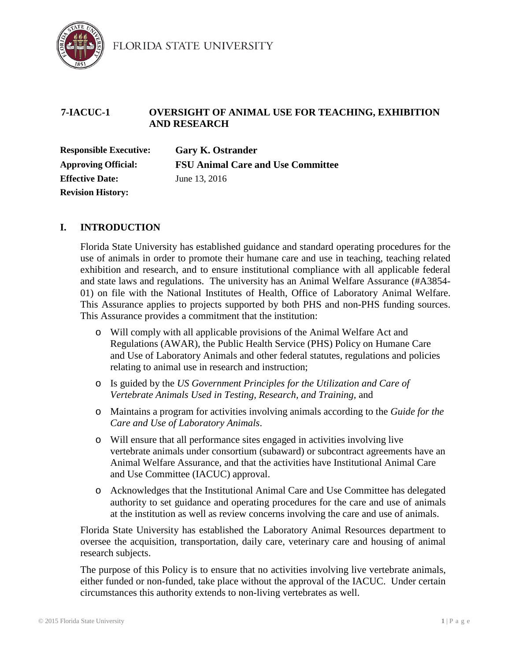

FLORIDA STATE UNIVERSITY

## **7-IACUC-1 OVERSIGHT OF ANIMAL USE FOR TEACHING, EXHIBITION AND RESEARCH**

| <b>Responsible Executive:</b> | <b>Gary K. Ostrander</b>                 |
|-------------------------------|------------------------------------------|
| <b>Approving Official:</b>    | <b>FSU Animal Care and Use Committee</b> |
| <b>Effective Date:</b>        | June 13, 2016                            |
| <b>Revision History:</b>      |                                          |

## **I. INTRODUCTION**

Florida State University has established guidance and standard operating procedures for the use of animals in order to promote their humane care and use in teaching, teaching related exhibition and research, and to ensure institutional compliance with all applicable federal and state laws and regulations. The university has an Animal Welfare Assurance (#A3854- 01) on file with the National Institutes of Health, Office of Laboratory Animal Welfare. This Assurance applies to projects supported by both PHS and non-PHS funding sources. This Assurance provides a commitment that the institution:

- o Will comply with all applicable provisions of the Animal Welfare Act and Regulations (AWAR), the Public Health Service (PHS) Policy on Humane Care and Use of Laboratory Animals and other federal statutes, regulations and policies relating to animal use in research and instruction;
- o Is guided by the *US Government Principles for the Utilization and Care of Vertebrate Animals Used in Testing, Research, and Training,* and
- o Maintains a program for activities involving animals according to the *Guide for the Care and Use of Laboratory Animals*.
- o Will ensure that all performance sites engaged in activities involving live vertebrate animals under consortium (subaward) or subcontract agreements have an Animal Welfare Assurance, and that the activities have Institutional Animal Care and Use Committee (IACUC) approval.
- o Acknowledges that the Institutional Animal Care and Use Committee has delegated authority to set guidance and operating procedures for the care and use of animals at the institution as well as review concerns involving the care and use of animals.

Florida State University has established the Laboratory Animal Resources department to oversee the acquisition, transportation, daily care, veterinary care and housing of animal research subjects.

The purpose of this Policy is to ensure that no activities involving live vertebrate animals, either funded or non-funded, take place without the approval of the IACUC. Under certain circumstances this authority extends to non-living vertebrates as well.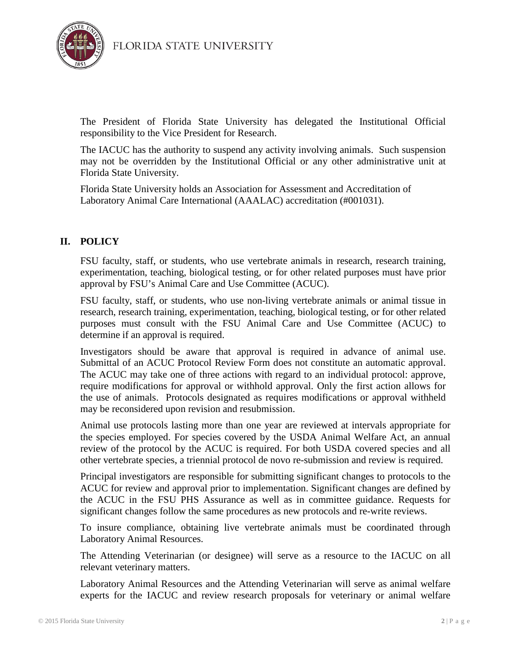



The President of Florida State University has delegated the Institutional Official responsibility to the Vice President for Research.

The IACUC has the authority to suspend any activity involving animals. Such suspension may not be overridden by the Institutional Official or any other administrative unit at Florida State University.

Florida State University holds an Association for Assessment and Accreditation of Laboratory Animal Care International (AAALAC) accreditation (#001031).

# **II. POLICY**

FSU faculty, staff, or students, who use vertebrate animals in research, research training, experimentation, teaching, biological testing, or for other related purposes must have prior approval by FSU's Animal Care and Use Committee (ACUC).

FSU faculty, staff, or students, who use non-living vertebrate animals or animal tissue in research, research training, experimentation, teaching, biological testing, or for other related purposes must consult with the FSU Animal Care and Use Committee (ACUC) to determine if an approval is required.

Investigators should be aware that approval is required in advance of animal use. Submittal of an ACUC Protocol Review Form does not constitute an automatic approval. The ACUC may take one of three actions with regard to an individual protocol: approve, require modifications for approval or withhold approval. Only the first action allows for the use of animals. Protocols designated as requires modifications or approval withheld may be reconsidered upon revision and resubmission.

Animal use protocols lasting more than one year are reviewed at intervals appropriate for the species employed. For species covered by the USDA Animal Welfare Act, an annual review of the protocol by the ACUC is required. For both USDA covered species and all other vertebrate species, a triennial protocol de novo re-submission and review is required.

Principal investigators are responsible for submitting significant changes to protocols to the ACUC for review and approval prior to implementation. Significant changes are defined by the ACUC in the FSU PHS Assurance as well as in committee guidance. Requests for significant changes follow the same procedures as new protocols and re-write reviews.

To insure compliance, obtaining live vertebrate animals must be coordinated through Laboratory Animal Resources.

The Attending Veterinarian (or designee) will serve as a resource to the IACUC on all relevant veterinary matters.

Laboratory Animal Resources and the Attending Veterinarian will serve as animal welfare experts for the IACUC and review research proposals for veterinary or animal welfare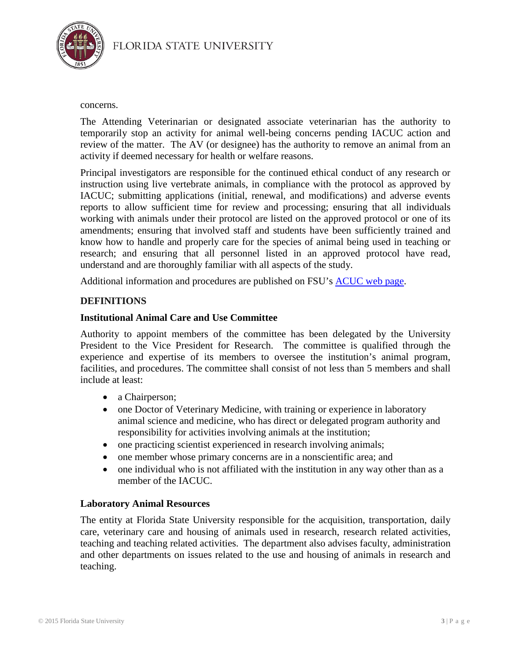

#### concerns.

The Attending Veterinarian or designated associate veterinarian has the authority to temporarily stop an activity for animal well-being concerns pending IACUC action and review of the matter. The AV (or designee) has the authority to remove an animal from an activity if deemed necessary for health or welfare reasons.

Principal investigators are responsible for the continued ethical conduct of any research or instruction using live vertebrate animals, in compliance with the protocol as approved by IACUC; submitting applications (initial, renewal, and modifications) and adverse events reports to allow sufficient time for review and processing; ensuring that all individuals working with animals under their protocol are listed on the approved protocol or one of its amendments; ensuring that involved staff and students have been sufficiently trained and know how to handle and properly care for the species of animal being used in teaching or research; and ensuring that all personnel listed in an approved protocol have read, understand and are thoroughly familiar with all aspects of the study.

Additional information and procedures are published on FSU's **ACUC** web page.

### **DEFINITIONS**

### **Institutional Animal Care and Use Committee**

Authority to appoint members of the committee has been delegated by the University President to the Vice President for Research. The committee is qualified through the experience and expertise of its members to oversee the institution's animal program, facilities, and procedures. The committee shall consist of not less than 5 members and shall include at least:

- a Chairperson;
- one Doctor of Veterinary Medicine, with training or experience in laboratory animal science and medicine, who has direct or delegated program authority and responsibility for activities involving animals at the institution;
- one practicing scientist experienced in research involving animals;
- one member whose primary concerns are in a nonscientific area; and
- one individual who is not affiliated with the institution in any way other than as a member of the IACUC.

#### **Laboratory Animal Resources**

The entity at Florida State University responsible for the acquisition, transportation, daily care, veterinary care and housing of animals used in research, research related activities, teaching and teaching related activities. The department also advises faculty, administration and other departments on issues related to the use and housing of animals in research and teaching.